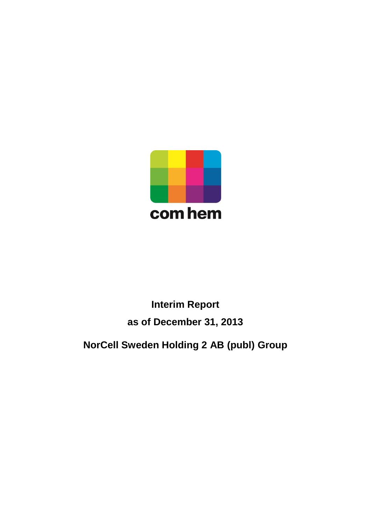

# **Interim Report as of December 31, 2013**

**NorCell Sweden Holding 2 AB (publ) Group**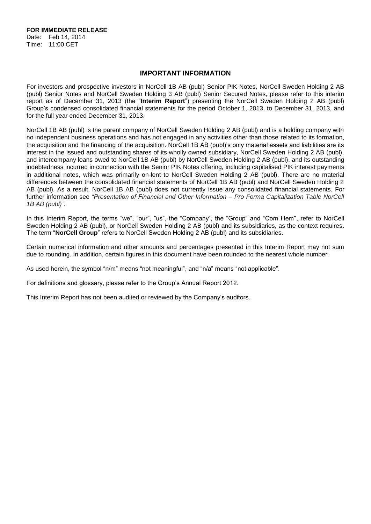**FOR IMMEDIATE RELEASE** Date: Feb 14, 2014 Time: 11:00 CET

## **IMPORTANT INFORMATION**

For investors and prospective investors in NorCell 1B AB (publ) Senior PIK Notes, NorCell Sweden Holding 2 AB (publ) Senior Notes and NorCell Sweden Holding 3 AB (publ) Senior Secured Notes, please refer to this interim report as of December 31, 2013 (the "**Interim Report**") presenting the NorCell Sweden Holding 2 AB (publ) Group's condensed consolidated financial statements for the period October 1, 2013, to December 31, 2013, and for the full year ended December 31, 2013.

NorCell 1B AB (publ) is the parent company of NorCell Sweden Holding 2 AB (publ) and is a holding company with no independent business operations and has not engaged in any activities other than those related to its formation, the acquisition and the financing of the acquisition. NorCell 1B AB (publ)'s only material assets and liabilities are its interest in the issued and outstanding shares of its wholly owned subsidiary, NorCell Sweden Holding 2 AB (publ), and intercompany loans owed to NorCell 1B AB (publ) by NorCell Sweden Holding 2 AB (publ), and its outstanding indebtedness incurred in connection with the Senior PIK Notes offering, including capitalised PIK interest payments in additional notes, which was primarily on-lent to NorCell Sweden Holding 2 AB (publ). There are no material differences between the consolidated financial statements of NorCell 1B AB (publ) and NorCell Sweden Holding 2 AB (publ). As a result, NorCell 1B AB (publ) does not currently issue any consolidated financial statements. For further information see *"Presentation of Financial and Other Information – Pro Forma Capitalization Table NorCell 1B AB (publ)"*.

In this Interim Report, the terms "we", "our", "us", the "Company", the "Group" and "Com Hem", refer to NorCell Sweden Holding 2 AB (publ), or NorCell Sweden Holding 2 AB (publ) and its subsidiaries, as the context requires. The term "**NorCell Group**" refers to NorCell Sweden Holding 2 AB (publ) and its subsidiaries.

Certain numerical information and other amounts and percentages presented in this Interim Report may not sum due to rounding. In addition, certain figures in this document have been rounded to the nearest whole number.

As used herein, the symbol "n/m" means "not meaningful", and "n/a" means "not applicable".

For definitions and glossary, please refer to the Group's Annual Report 2012.

This Interim Report has not been audited or reviewed by the Company's auditors.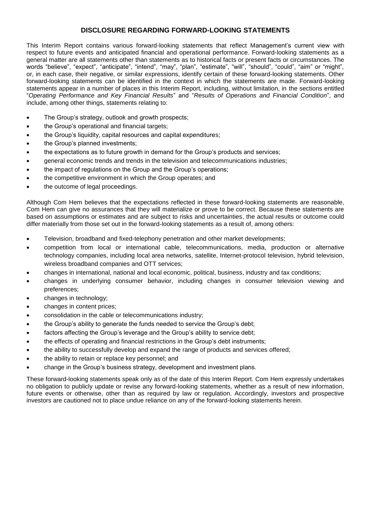## **DISCLOSURE REGARDING FORWARD-LOOKING STATEMENTS**

This Interim Report contains various forward-looking statements that reflect Management's current view with respect to future events and anticipated financial and operational performance. Forward-looking statements as a general matter are all statements other than statements as to historical facts or present facts or circumstances. The words "believe", "expect", "anticipate", "intend", "may", "plan", "estimate", "will", "should", "could", "aim" or "might", or, in each case, their negative, or similar expressions, identify certain of these forward-looking statements. Other forward-looking statements can be identified in the context in which the statements are made. Forward-looking statements appear in a number of places in this Interim Report, including, without limitation, in the sections entitled "*Operating Performance and Key Financial Results*" and "*Results of Operations and Financial Condition*", and include, among other things, statements relating to:

- The Group's strategy, outlook and growth prospects;
- the Group's operational and financial targets;
- the Group's liquidity, capital resources and capital expenditures;
- the Group's planned investments;
- the expectations as to future growth in demand for the Group's products and services;
- general economic trends and trends in the television and telecommunications industries;
- the impact of regulations on the Group and the Group's operations;
- the competitive environment in which the Group operates; and
- the outcome of legal proceedings.

Although Com Hem believes that the expectations reflected in these forward-looking statements are reasonable, Com Hem can give no assurances that they will materialize or prove to be correct. Because these statements are based on assumptions or estimates and are subject to risks and uncertainties, the actual results or outcome could differ materially from those set out in the forward-looking statements as a result of, among others:

- Television, broadband and fixed-telephony penetration and other market developments;
- competition from local or international cable, telecommunications, media, production or alternative technology companies, including local area networks, satellite, Internet-protocol television, hybrid television, wireless broadband companies and OTT services;
- changes in international, national and local economic, political, business, industry and tax conditions;
- changes in underlying consumer behavior, including changes in consumer television viewing and preferences;
- changes in technology;
- changes in content prices;
- consolidation in the cable or telecommunications industry;
- the Group's ability to generate the funds needed to service the Group's debt;
- factors affecting the Group's leverage and the Group's ability to service debt;
- the effects of operating and financial restrictions in the Group's debt instruments;
- the ability to successfully develop and expand the range of products and services offered;
- the ability to retain or replace key personnel; and
- change in the Group's business strategy, development and investment plans.

These forward-looking statements speak only as of the date of this Interim Report. Com Hem expressly undertakes no obligation to publicly update or revise any forward-looking statements, whether as a result of new information, future events or otherwise, other than as required by law or regulation. Accordingly, investors and prospective investors are cautioned not to place undue reliance on any of the forward-looking statements herein.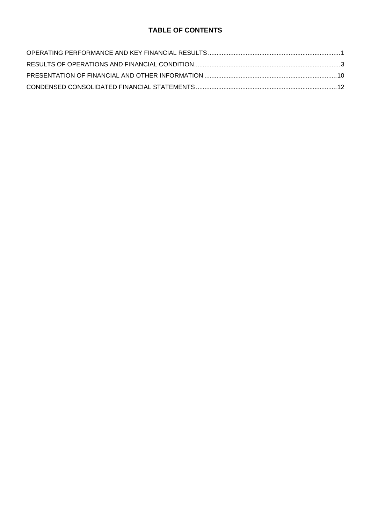# **TABLE OF CONTENTS**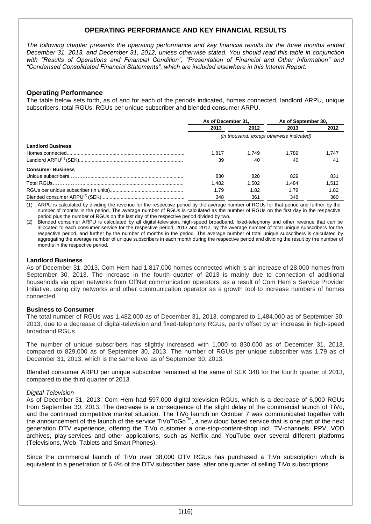# **OPERATING PERFORMANCE AND KEY FINANCIAL RESULTS**

*The following chapter presents the operating performance and key financial results for the three months ended December 31, 2013, and December 31, 2012, unless otherwise stated. You should read this table in conjunction with "Results of Operations and Financial Condition", "Presentation of Financial and Other Information" and "Condensed Consolidated Financial Statements", which are included elsewhere in this Interim Report.*

## **Operating Performance**

The table below sets forth, as of and for each of the periods indicated, homes connected, landlord ARPU, unique subscribers, total RGUs, RGUs per unique subscriber and blended consumer ARPU.

|                          | As of December 31. |       | As of September 30,                       |       |  |
|--------------------------|--------------------|-------|-------------------------------------------|-------|--|
|                          | 2013               | 2012  | 2013                                      | 2012  |  |
|                          |                    |       | (in thousand, except otherwise indicated) |       |  |
| <b>Landlord Business</b> |                    |       |                                           |       |  |
|                          | 1.817              | 1.749 | 1.789                                     | 1.747 |  |
|                          | 39                 | 40    | 40                                        | 41    |  |
| <b>Consumer Business</b> |                    |       |                                           |       |  |
|                          | 830                | 828   | 829                                       | 831   |  |
|                          | 1.482              | 1.502 | 1.484                                     | 1.512 |  |
|                          | 1.79               | 1.82  | 1.79                                      | 1.82  |  |
|                          | 348                | 361   | 348                                       | 360   |  |

(1) ARPU is calculated by dividing the revenue for the respective period by the average number of RGUs for that period and further by the number of months in the period. The average number of RGUs is calculated as the number of RGUs on the first day in the respective period plus the number of RGUs on the last day of the respective period divided by two.

(2) Blended consumer ARPU is calculated by all digital-television, high-speed broadband, fixed-telephony and other revenue that can be allocated to each consumer service for the respective period, 2013 and 2012, by the average number of total unique subscribers for the respective period, and further by the number of months in the period. The average number of total unique subscribers is calculated by aggregating the average number of unique subscribers in each month during the respective period and dividing the result by the number of months in the respective period.

#### **Landlord Business**

As of December 31, 2013, Com Hem had 1,817,000 homes connected which is an increase of 28,000 homes from September 30, 2013. The increase in the fourth quarter of 2013 is mainly due to connection of additional households via open networks from OffNet communication operators, as a result of Com Hem´s Service Provider Initiative, using city networks and other communication operator as a growth tool to increase numbers of homes connected.

#### **Business to Consumer**

The total number of RGUs was 1,482,000 as of December 31, 2013, compared to 1,484,000 as of September 30, 2013, due to a decrease of digital-television and fixed-telephony RGUs, partly offset by an increase in high-speed broadband RGUs.

The number of unique subscribers has slightly increased with 1,000 to 830,000 as of December 31, 2013, compared to 829,000 as of September 30, 2013. The number of RGUs per unique subscriber was 1.79 as of December 31, 2013, which is the same level as of September 30, 2013.

Blended consumer ARPU per unique subscriber remained at the same of SEK 348 for the fourth quarter of 2013, compared to the third quarter of 2013.

#### *Digital-Television*

As of December 31, 2013, Com Hem had 597,000 digital-television RGUs, which is a decrease of 6,000 RGUs from September 30, 2013. The decrease is a consequence of the slight delay of the commercial launch of TiVo, and the continued competitive market situation. The TiVo launch on October 7 was communicated together with the announcement of the launch of the service TiVoToGo<sup>TM</sup>, a new cloud based service that is one part of the next generation DTV experience, offering the TiVo customer a one-stop-content-shop incl. TV-channels, PPV, VOD archives, play-services and other applications, such as Netflix and YouTube over several different platforms (Televisions, Web, Tablets and Smart Phones).

Since the commercial launch of TiVo over 38,000 DTV RGUs has purchased a TiVo subscription which is equivalent to a penetration of 6.4% of the DTV subscriber base, after one quarter of selling TiVo subscriptions.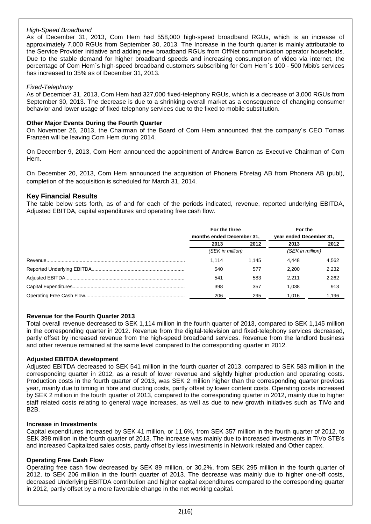## *High-Speed Broadband*

As of December 31, 2013, Com Hem had 558,000 high-speed broadband RGUs, which is an increase of approximately 7,000 RGUs from September 30, 2013. The Increase in the fourth quarter is mainly attributable to the Service Provider initiative and adding new broadband RGUs from OffNet communication operator households. Due to the stable demand for higher broadband speeds and increasing consumption of video via internet, the percentage of Com Hem´s high-speed broadband customers subscribing for Com Hem´s 100 - 500 Mbit/s services has increased to 35% as of December 31, 2013.

## *Fixed-Telephony*

As of December 31, 2013, Com Hem had 327,000 fixed-telephony RGUs, which is a decrease of 3,000 RGUs from September 30, 2013. The decrease is due to a shrinking overall market as a consequence of changing consumer behavior and lower usage of fixed-telephony services due to the fixed to mobile substitution.

## **Other Major Events During the Fourth Quarter**

On November 26, 2013, the Chairman of the Board of Com Hem announced that the company´s CEO Tomas Franzén will be leaving Com Hem during 2014.

On December 9, 2013, Com Hem announced the appointment of Andrew Barron as Executive Chairman of Com Hem.

On December 20, 2013, Com Hem announced the acquisition of Phonera Företag AB from Phonera AB (publ), completion of the acquisition is scheduled for March 31, 2014.

## **Key Financial Results**

The table below sets forth, as of and for each of the periods indicated, revenue, reported underlying EBITDA, Adjusted EBITDA, capital expenditures and operating free cash flow.

|                           | For the three    |                         | For the          |
|---------------------------|------------------|-------------------------|------------------|
| months ended December 31, |                  | year ended December 31, |                  |
| 2013                      | 2012             | 2013                    | 2012             |
|                           | (SEK in million) |                         | (SEK in million) |
| 1.114                     | 1.145            | 4.448                   | 4,562            |
| 540                       | 577              | 2.200                   | 2.232            |
| 541                       | 583              | 2.211                   | 2.262            |
| 398                       | 357              | 1.038                   | 913              |
| 206                       | 295              | 1.016                   | 1,196            |

#### **Revenue for the Fourth Quarter 2013**

Total overall revenue decreased to SEK 1,114 million in the fourth quarter of 2013, compared to SEK 1,145 million in the corresponding quarter in 2012. Revenue from the digital-television and fixed-telephony services decreased, partly offset by increased revenue from the high-speed broadband services. Revenue from the landlord business and other revenue remained at the same level compared to the corresponding quarter in 2012.

## **Adjusted EBITDA development**

Adjusted EBITDA decreased to SEK 541 million in the fourth quarter of 2013, compared to SEK 583 million in the corresponding quarter in 2012, as a result of lower revenue and slightly higher production and operating costs. Production costs in the fourth quarter of 2013, was SEK 2 million higher than the corresponding quarter previous year, mainly due to timing in fibre and ducting costs, partly offset by lower content costs. Operating costs increased by SEK 2 million in the fourth quarter of 2013, compared to the corresponding quarter in 2012, mainly due to higher staff related costs relating to general wage increases, as well as due to new growth initiatives such as TiVo and B2B.

#### **Increase in Investments**

Capital expenditures increased by SEK 41 million, or 11.6%, from SEK 357 million in the fourth quarter of 2012, to SEK 398 million in the fourth quarter of 2013. The increase was mainly due to increased investments in TiVo STB's and increased Capitalized sales costs, partly offset by less investments in Network related and Other capex.

## **Operating Free Cash Flow**

Operating free cash flow decreased by SEK 89 million, or 30.2%, from SEK 295 million in the fourth quarter of 2012, to SEK 206 million in the fourth quarter of 2013. The decrease was mainly due to higher one-off costs, decreased Underlying EBITDA contribution and higher capital expenditures compared to the corresponding quarter in 2012, partly offset by a more favorable change in the net working capital.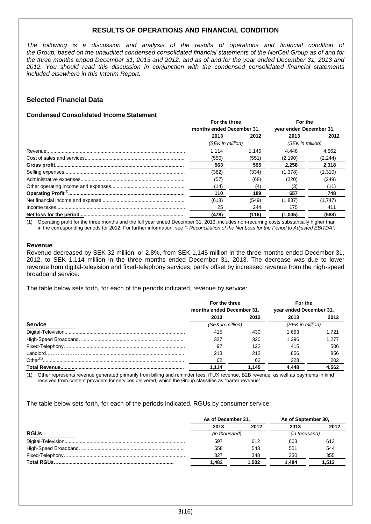# **RESULTS OF OPERATIONS AND FINANCIAL CONDITION**

*The following is a discussion and analysis of the results of operations and financial condition of the Group, based on the unaudited condensed consolidated financial statements of the NorCell Group as of and for the three months ended December 31, 2013 and 2012, and as of and for the year ended December 31, 2013 and 2012. You should read this discussion in conjunction with the condensed consolidated financial statements included elsewhere in this Interim Report.*

# **Selected Financial Data**

## **Condensed Consolidated Income Statement**

|  | For the three<br>months ended December 31. |       | For the<br>vear ended December 31. |          |
|--|--------------------------------------------|-------|------------------------------------|----------|
|  |                                            |       |                                    |          |
|  | 2013                                       | 2012  | 2013                               | 2012     |
|  | (SEK in million)                           |       | (SEK in million)                   |          |
|  | 1.114                                      | 1.145 | 4.448                              | 4.562    |
|  | (550)                                      | (551) | (2, 190)                           | (2, 244) |
|  | 563                                        | 595   | 2.258                              | 2.318    |
|  | (382)                                      | (334) | (1,378)                            | (1,310)  |
|  | (57)                                       | (68)  | (220)                              | (249)    |
|  | (14)                                       | (4)   | (3)                                | (11)     |
|  | 110                                        | 189   | 657                                | 748      |
|  | (613)                                      | (549) | (1,837)                            | (1,747)  |
|  | 25                                         | 244   | 175                                | 411      |
|  | (478)                                      | (116) | (1,005)                            | (588)    |

(1) Operating profit for the three months and the full year ended December 31, 2013, includes non-recurring costs substantially higher than in the corresponding periods for 2012. For further information, see *"*- *Reconciliation of the Net Loss for the Period to Adjusted EBITDA"*.

#### **Revenue**

Revenue decreased by SEK 32 million, or 2.8%, from SEK 1,145 million in the three months ended December 31, 2012, to SEK 1,114 million in the three months ended December 31, 2013. The decrease was due to lower revenue from digital-television and fixed-telephony services, partly offset by increased revenue from the high-speed broadband service.

The table below sets forth, for each of the periods indicated, revenue by service:

|                | For the three             |                  | For the                 |       |  |                  |  |
|----------------|---------------------------|------------------|-------------------------|-------|--|------------------|--|
|                | months ended December 31, |                  | year ended December 31, |       |  |                  |  |
|                | 2013                      | 2012             | 2013                    | 2012  |  |                  |  |
| <b>Service</b> |                           | (SEK in million) |                         |       |  | (SEK in million) |  |
|                | 415                       | 430              | 1.653                   | 1.721 |  |                  |  |
|                | 327                       | 320              | 1.296                   | 1.277 |  |                  |  |
|                | 97                        | 122              | 415                     | 506   |  |                  |  |
|                | 213                       | 212              | 856                     | 856   |  |                  |  |
|                | 62                        | 62               | 228                     | 202   |  |                  |  |
|                | 1.114                     | 1.145            | 4.448                   | 4.562 |  |                  |  |

(1) Other represents revenue generated primarily from billing and reminder fees, iTUX revenue, B2B revenue, as well as payments in kind received from content providers for services delivered, which the Group classifies as "barter revenue".

The table below sets forth, for each of the periods indicated, RGUs by consumer service:

|             | As of December 31, |       | As of September 30, |               |  |
|-------------|--------------------|-------|---------------------|---------------|--|
|             | 2013               | 2012  | 2013                | 2012          |  |
| <b>RGUs</b> | (in thousand)      |       |                     | (in thousand) |  |
|             | 597                | 612   | 603                 | 613           |  |
|             | 558                | 543   | 551                 | 544           |  |
|             | 327                | 348   | 330                 | 355           |  |
|             | 1.482              | 1.502 | 1.484               | 1.512         |  |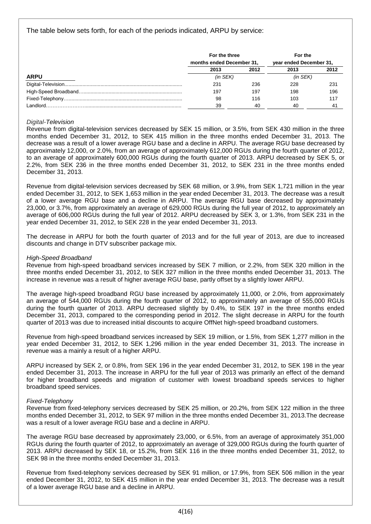# The table below sets forth, for each of the periods indicated, ARPU by service:

|             | For the three             |      | For the                 |      |
|-------------|---------------------------|------|-------------------------|------|
|             | months ended December 31, |      | year ended December 31, |      |
|             | 2013                      | 2012 | 2013                    | 2012 |
| <b>ARPU</b> | $(in$ SEK $)$             |      |                         |      |
|             | 231                       | 236  | 228                     | 231  |
|             | 197                       | 197  | 198                     | 196  |
|             | 98                        | 116  | 103                     | 117  |
| Landlord    | 39                        | 40   | 40                      | 41   |

## *Digital-Television*

Revenue from digital-television services decreased by SEK 15 million, or 3.5%, from SEK 430 million in the three months ended December 31, 2012, to SEK 415 million in the three months ended December 31, 2013. The decrease was a result of a lower average RGU base and a decline in ARPU. The average RGU base decreased by approximately 12,000, or 2.0%, from an average of approximately 612,000 RGUs during the fourth quarter of 2012, to an average of approximately 600,000 RGUs during the fourth quarter of 2013. ARPU decreased by SEK 5, or 2.2%, from SEK 236 in the three months ended December 31, 2012, to SEK 231 in the three months ended December 31, 2013.

Revenue from digital-television services decreased by SEK 68 million, or 3.9%, from SEK 1,721 million in the year ended December 31, 2012, to SEK 1,653 million in the year ended December 31, 2013. The decrease was a result of a lower average RGU base and a decline in ARPU. The average RGU base decreased by approximately 23,000, or 3.7%, from approximately an average of 629,000 RGUs during the full year of 2012, to approximately an average of 606,000 RGUs during the full year of 2012. ARPU decreased by SEK 3, or 1.3%, from SEK 231 in the year ended December 31, 2012, to SEK 228 in the year ended December 31, 2013.

The decrease in ARPU for both the fourth quarter of 2013 and for the full year of 2013, are due to increased discounts and change in DTV subscriber package mix.

## *High-Speed Broadband*

Revenue from high-speed broadband services increased by SEK 7 million, or 2.2%, from SEK 320 million in the three months ended December 31, 2012, to SEK 327 million in the three months ended December 31, 2013. The increase in revenue was a result of higher average RGU base, partly offset by a slightly lower ARPU.

The average high-speed broadband RGU base increased by approximately 11,000, or 2.0%, from approximately an average of 544,000 RGUs during the fourth quarter of 2012, to approximately an average of 555,000 RGUs during the fourth quarter of 2013. ARPU decreased slightly by 0.4%, to SEK 197 in the three months ended December 31, 2013, compared to the corresponding period in 2012. The slight decrease in ARPU for the fourth quarter of 2013 was due to increased initial discounts to acquire OffNet high-speed broadband customers.

Revenue from high-speed broadband services increased by SEK 19 million, or 1.5%, from SEK 1,277 million in the year ended December 31, 2012, to SEK 1,296 million in the year ended December 31, 2013. The increase in revenue was a mainly a result of a higher ARPU.

ARPU increased by SEK 2, or 0.8%, from SEK 196 in the year ended December 31, 2012, to SEK 198 in the year ended December 31, 2013. The increase in ARPU for the full year of 2013 was primarily an effect of the demand for higher broadband speeds and migration of customer with lowest broadband speeds services to higher broadband speed services.

#### *Fixed-Telephony*

Revenue from fixed-telephony services decreased by SEK 25 million, or 20.2%, from SEK 122 million in the three months ended December 31, 2012, to SEK 97 million in the three months ended December 31, 2013.The decrease was a result of a lower average RGU base and a decline in ARPU.

The average RGU base decreased by approximately 23,000, or 6.5%, from an average of approximately 351,000 RGUs during the fourth quarter of 2012, to approximately an average of 329,000 RGUs during the fourth quarter of 2013. ARPU decreased by SEK 18, or 15.2%, from SEK 116 in the three months ended December 31, 2012, to SEK 98 in the three months ended December 31, 2013.

Revenue from fixed-telephony services decreased by SEK 91 million, or 17.9%, from SEK 506 million in the year ended December 31, 2012, to SEK 415 million in the year ended December 31, 2013. The decrease was a result of a lower average RGU base and a decline in ARPU.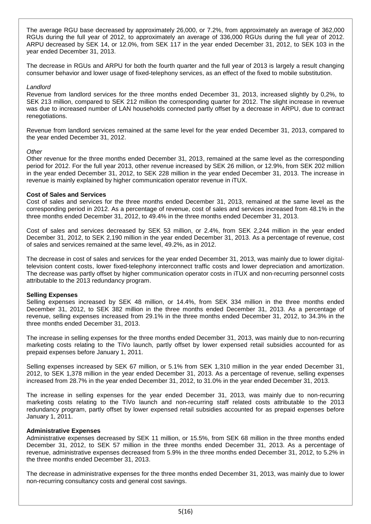The average RGU base decreased by approximately 26,000, or 7.2%, from approximately an average of 362,000 RGUs during the full year of 2012, to approximately an average of 336,000 RGUs during the full year of 2012. ARPU decreased by SEK 14, or 12.0%, from SEK 117 in the year ended December 31, 2012, to SEK 103 in the year ended December 31, 2013.

The decrease in RGUs and ARPU for both the fourth quarter and the full year of 2013 is largely a result changing consumer behavior and lower usage of fixed-telephony services, as an effect of the fixed to mobile substitution.

#### *Landlord*

Revenue from landlord services for the three months ended December 31, 2013, increased slightly by 0,2%, to SEK 213 million, compared to SEK 212 million the corresponding quarter for 2012. The slight increase in revenue was due to increased number of LAN households connected partly offset by a decrease in ARPU, due to contract renegotiations.

Revenue from landlord services remained at the same level for the year ended December 31, 2013, compared to the year ended December 31, 2012.

#### *Other*

Other revenue for the three months ended December 31, 2013, remained at the same level as the corresponding period for 2012. For the full year 2013, other revenue increased by SEK 26 million, or 12.9%, from SEK 202 million in the year ended December 31, 2012, to SEK 228 million in the year ended December 31, 2013. The increase in revenue is mainly explained by higher communication operator revenue in iTUX.

#### **Cost of Sales and Services**

Cost of sales and services for the three months ended December 31, 2013, remained at the same level as the corresponding period in 2012. As a percentage of revenue, cost of sales and services increased from 48.1% in the three months ended December 31, 2012, to 49.4% in the three months ended December 31, 2013.

Cost of sales and services decreased by SEK 53 million, or 2.4%, from SEK 2,244 million in the year ended December 31, 2012, to SEK 2,190 million in the year ended December 31, 2013. As a percentage of revenue, cost of sales and services remained at the same level, 49.2%, as in 2012.

The decrease in cost of sales and services for the year ended December 31, 2013, was mainly due to lower digitaltelevision content costs, lower fixed-telephony interconnect traffic costs and lower depreciation and amortization. The decrease was partly offset by higher communication operator costs in iTUX and non-recurring personnel costs attributable to the 2013 redundancy program.

#### **Selling Expenses**

Selling expenses increased by SEK 48 million, or 14.4%, from SEK 334 million in the three months ended December 31, 2012, to SEK 382 million in the three months ended December 31, 2013. As a percentage of revenue, selling expenses increased from 29.1% in the three months ended December 31, 2012, to 34.3% in the three months ended December 31, 2013.

The increase in selling expenses for the three months ended December 31, 2013, was mainly due to non-recurring marketing costs relating to the TiVo launch, partly offset by lower expensed retail subsidies accounted for as prepaid expenses before January 1, 2011.

Selling expenses increased by SEK 67 million, or 5.1% from SEK 1,310 million in the year ended December 31, 2012, to SEK 1,378 million in the year ended December 31, 2013. As a percentage of revenue, selling expenses increased from 28.7% in the year ended December 31, 2012, to 31.0% in the year ended December 31, 2013.

The increase in selling expenses for the year ended December 31, 2013, was mainly due to non-recurring marketing costs relating to the TiVo launch and non-recurring staff related costs attributable to the 2013 redundancy program, partly offset by lower expensed retail subsidies accounted for as prepaid expenses before January 1, 2011.

#### **Administrative Expenses**

Administrative expenses decreased by SEK 11 million, or 15.5%, from SEK 68 million in the three months ended December 31, 2012, to SEK 57 million in the three months ended December 31, 2013. As a percentage of revenue, administrative expenses decreased from 5.9% in the three months ended December 31, 2012, to 5.2% in the three months ended December 31, 2013.

The decrease in administrative expenses for the three months ended December 31, 2013, was mainly due to lower non-recurring consultancy costs and general cost savings.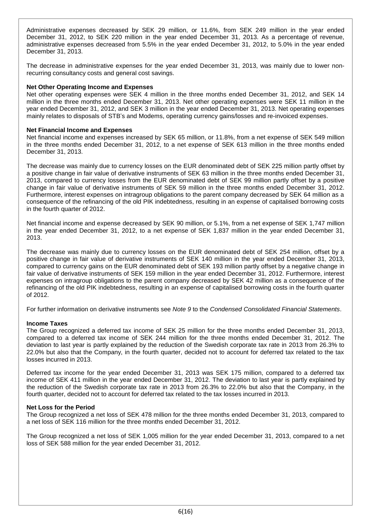Administrative expenses decreased by SEK 29 million, or 11.6%, from SEK 249 million in the year ended December 31, 2012, to SEK 220 million in the year ended December 31, 2013. As a percentage of revenue, administrative expenses decreased from 5.5% in the year ended December 31, 2012, to 5.0% in the year ended December 31, 2013.

The decrease in administrative expenses for the year ended December 31, 2013, was mainly due to lower nonrecurring consultancy costs and general cost savings.

#### **Net Other Operating Income and Expenses**

Net other operating expenses were SEK 4 million in the three months ended December 31, 2012, and SEK 14 million in the three months ended December 31, 2013. Net other operating expenses were SEK 11 million in the year ended December 31, 2012, and SEK 3 million in the year ended December 31, 2013. Net operating expenses mainly relates to disposals of STB's and Modems, operating currency gains/losses and re-invoiced expenses.

## **Net Financial Income and Expenses**

Net financial income and expenses increased by SEK 65 million, or 11.8%, from a net expense of SEK 549 million in the three months ended December 31, 2012, to a net expense of SEK 613 million in the three months ended December 31, 2013.

The decrease was mainly due to currency losses on the EUR denominated debt of SEK 225 million partly offset by a positive change in fair value of derivative instruments of SEK 63 million in the three months ended December 31, 2013, compared to currency losses from the EUR denominated debt of SEK 99 million partly offset by a positive change in fair value of derivative instruments of SEK 59 million in the three months ended December 31, 2012. Furthermore, interest expenses on intragroup obligations to the parent company decreased by SEK 64 million as a consequence of the refinancing of the old PIK indebtedness, resulting in an expense of capitalised borrowing costs in the fourth quarter of 2012.

Net financial income and expense decreased by SEK 90 million, or 5.1%, from a net expense of SEK 1,747 million in the year ended December 31, 2012, to a net expense of SEK 1,837 million in the year ended December 31, 2013.

The decrease was mainly due to currency losses on the EUR denominated debt of SEK 254 million, offset by a positive change in fair value of derivative instruments of SEK 140 million in the year ended December 31, 2013, compared to currency gains on the EUR denominated debt of SEK 193 million partly offset by a negative change in fair value of derivative instruments of SEK 159 million in the year ended December 31, 2012. Furthermore, interest expenses on intragroup obligations to the parent company decreased by SEK 42 million as a consequence of the refinancing of the old PIK indebtedness, resulting in an expense of capitalised borrowing costs in the fourth quarter of 2012.

For further information on derivative instruments see *Note 9* to the *Condensed Consolidated Financial Statements*.

## **Income Taxes**

The Group recognized a deferred tax income of SEK 25 million for the three months ended December 31, 2013, compared to a deferred tax income of SEK 244 million for the three months ended December 31, 2012. The deviation to last year is partly explained by the reduction of the Swedish corporate tax rate in 2013 from 26.3% to 22.0% but also that the Company, in the fourth quarter, decided not to account for deferred tax related to the tax losses incurred in 2013.

Deferred tax income for the year ended December 31, 2013 was SEK 175 million, compared to a deferred tax income of SEK 411 million in the year ended December 31, 2012. The deviation to last year is partly explained by the reduction of the Swedish corporate tax rate in 2013 from 26.3% to 22.0% but also that the Company, in the fourth quarter, decided not to account for deferred tax related to the tax losses incurred in 2013.

## **Net Loss for the Period**

The Group recognized a net loss of SEK 478 million for the three months ended December 31, 2013, compared to a net loss of SEK 116 million for the three months ended December 31, 2012.

The Group recognized a net loss of SEK 1,005 million for the year ended December 31, 2013, compared to a net loss of SEK 588 million for the year ended December 31, 2012.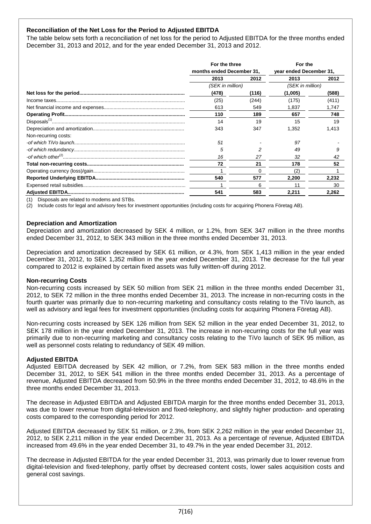## **Reconciliation of the Net Loss for the Period to Adjusted EBITDA**

The table below sets forth a reconciliation of net loss for the period to Adjusted EBITDA for the three months ended December 31, 2013 and 2012, and for the year ended December 31, 2013 and 2012.

|                      | For the three<br>months ended December 31, |       | For the<br>year ended December 31, |       |
|----------------------|--------------------------------------------|-------|------------------------------------|-------|
|                      |                                            |       |                                    |       |
|                      | 2013                                       | 2012  | 2013                               | 2012  |
|                      | (SEK in million)                           |       | (SEK in million)                   |       |
|                      | (478)                                      | (116) | (1,005)                            | (588) |
|                      | (25)                                       | (244) | (175)                              | (411) |
|                      | 613                                        | 549   | 1,837                              | 1,747 |
|                      | 110                                        | 189   | 657                                | 748   |
|                      | 14                                         | 19    | 15                                 | 19    |
|                      | 343                                        | 347   | 1,352                              | 1,413 |
| Non-recurring costs: |                                            |       |                                    |       |
|                      | 51                                         |       | 97                                 |       |
|                      | 5                                          |       | 49                                 |       |
|                      | 16                                         | 27    | 32                                 | 42    |
|                      | 72                                         | 21    | 178                                | 52    |
|                      |                                            | O     |                                    |       |
|                      | 540                                        | 577   | 2.200                              | 2,232 |
|                      |                                            | 6     | 11                                 | 30    |
|                      | 541                                        | 583   | 2,211                              | 2,262 |

(1) Disposals are related to modems and STBs.

(2) Include costs for legal and advisory fees for investment opportunities (including costs for acquiring Phonera Företag AB).

#### **Depreciation and Amortization**

Depreciation and amortization decreased by SEK 4 million, or 1.2%, from SEK 347 million in the three months ended December 31, 2012, to SEK 343 million in the three months ended December 31, 2013.

Depreciation and amortization decreased by SEK 61 million, or 4.3%, from SEK 1,413 million in the year ended December 31, 2012, to SEK 1,352 million in the year ended December 31, 2013. The decrease for the full year compared to 2012 is explained by certain fixed assets was fully written-off during 2012.

#### **Non-recurring Costs**

Non-recurring costs increased by SEK 50 million from SEK 21 million in the three months ended December 31, 2012, to SEK 72 million in the three months ended December 31, 2013. The increase in non-recurring costs in the fourth quarter was primarily due to non-recurring marketing and consultancy costs relating to the TiVo launch, as well as advisory and legal fees for investment opportunities (including costs for acquiring Phonera Företag AB).

Non-recurring costs increased by SEK 126 million from SEK 52 million in the year ended December 31, 2012, to SEK 178 million in the year ended December 31, 2013. The increase in non-recurring costs for the full year was primarily due to non-recurring marketing and consultancy costs relating to the TiVo launch of SEK 95 million, as well as personnel costs relating to redundancy of SEK 49 million.

#### **Adjusted EBITDA**

Adjusted EBITDA decreased by SEK 42 million, or 7.2%, from SEK 583 million in the three months ended December 31, 2012, to SEK 541 million in the three months ended December 31, 2013. As a percentage of revenue, Adjusted EBITDA decreased from 50.9% in the three months ended December 31, 2012, to 48.6% in the three months ended December 31, 2013.

The decrease in Adjusted EBITDA and Adjusted EBITDA margin for the three months ended December 31, 2013, was due to lower revenue from digital-television and fixed-telephony, and slightly higher production- and operating costs compared to the corresponding period for 2012.

Adjusted EBITDA decreased by SEK 51 million, or 2.3%, from SEK 2,262 million in the year ended December 31, 2012, to SEK 2,211 million in the year ended December 31, 2013. As a percentage of revenue, Adjusted EBITDA increased from 49.6% in the year ended December 31, to 49.7% in the year ended December 31, 2012.

The decrease in Adjusted EBITDA for the year ended December 31, 2013, was primarily due to lower revenue from digital-television and fixed-telephony, partly offset by decreased content costs, lower sales acquisition costs and general cost savings.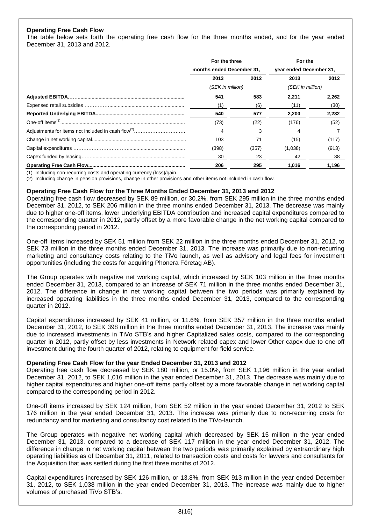## **Operating Free Cash Flow**

The table below sets forth the operating free cash flow for the three months ended, and for the year ended December 31, 2013 and 2012.

|  | For the three<br>months ended December 31, |       | For the<br>year ended December 31, |       |
|--|--------------------------------------------|-------|------------------------------------|-------|
|  |                                            |       |                                    |       |
|  | 2013                                       | 2012  | 2013                               | 2012  |
|  | (SEK in million)                           |       | (SEK in million)                   |       |
|  | 541                                        | 583   | 2,211                              | 2,262 |
|  | (1)                                        | (6)   | (11)                               | (30)  |
|  | 540                                        | 577   | 2,200                              | 2,232 |
|  | (73)                                       | (22)  | (176)                              | (52)  |
|  | 4                                          | 3     | 4                                  |       |
|  | 103                                        | 71    | (15)                               | (117) |
|  | (398)                                      | (357) | (1,038)                            | (913) |
|  | 30                                         | 23    | 42                                 | 38    |
|  | 206                                        | 295   | 1.016                              | 1.196 |

(1) Including non-recurring costs and operating currency (loss)/gain.

(2) Including change in pension provisions, change in other provisions and other items not included in cash flow.

#### **Operating Free Cash Flow for the Three Months Ended December 31, 2013 and 2012**

Operating free cash flow decreased by SEK 89 million, or 30.2%, from SEK 295 million in the three months ended December 31, 2012, to SEK 206 million in the three months ended December 31, 2013. The decrease was mainly due to higher one-off items, lower Underlying EBITDA contribution and increased capital expenditures compared to the corresponding quarter in 2012, partly offset by a more favorable change in the net working capital compared to the corresponding period in 2012.

One-off items increased by SEK 51 million from SEK 22 million in the three months ended December 31, 2012, to SEK 73 million in the three months ended December 31, 2013. The increase was primarily due to non-recurring marketing and consultancy costs relating to the TiVo launch, as well as advisory and legal fees for investment opportunities (including the costs for acquiring Phonera Företag AB).

The Group operates with negative net working capital, which increased by SEK 103 million in the three months ended December 31, 2013, compared to an increase of SEK 71 million in the three months ended December 31, 2012. The difference in change in net working capital between the two periods was primarily explained by increased operating liabilities in the three months ended December 31, 2013, compared to the corresponding quarter in 2012.

Capital expenditures increased by SEK 41 million, or 11.6%, from SEK 357 million in the three months ended December 31, 2012, to SEK 398 million in the three months ended December 31, 2013. The increase was mainly due to increased investments in TiVo STB's and higher Capitalized sales costs, compared to the corresponding quarter in 2012, partly offset by less investments in Network related capex and lower Other capex due to one-off investment during the fourth quarter of 2012, relating to equipment for field service.

#### **Operating Free Cash Flow for the year Ended December 31, 2013 and 2012**

Operating free cash flow decreased by SEK 180 million, or 15.0%, from SEK 1,196 million in the year ended December 31, 2012, to SEK 1,016 million in the year ended December 31, 2013. The decrease was mainly due to higher capital expenditures and higher one-off items partly offset by a more favorable change in net working capital compared to the corresponding period in 2012.

One-off items increased by SEK 124 million, from SEK 52 million in the year ended December 31, 2012 to SEK 176 million in the year ended December 31, 2013. The increase was primarily due to non-recurring costs for redundancy and for marketing and consultancy cost related to the TiVo-launch.

The Group operates with negative net working capital which decreased by SEK 15 million in the year ended December 31, 2013, compared to a decrease of SEK 117 million in the year ended December 31, 2012. The difference in change in net working capital between the two periods was primarily explained by extraordinary high operating liabilities as of December 31, 2011, related to transaction costs and costs for lawyers and consultants for the Acquisition that was settled during the first three months of 2012.

Capital expenditures increased by SEK 126 million, or 13.8%, from SEK 913 million in the year ended December 31, 2012, to SEK 1,038 million in the year ended December 31, 2013. The increase was mainly due to higher volumes of purchased TiVo STB's.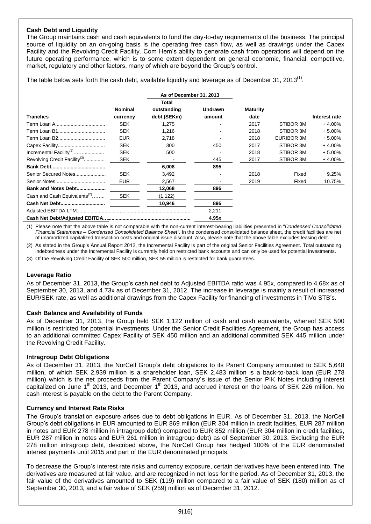## **Cash Debt and Liquidity**

The Group maintains cash and cash equivalents to fund the day-to-day requirements of the business. The principal source of liquidity on an on-going basis is the operating free cash flow, as well as drawings under the Capex Facility and the Revolving Credit Facility. Com Hem's ability to generate cash from operations will depend on the future operating performance, which is to some extent dependent on general economic, financial, competitive, market, regulatory and other factors, many of which are beyond the Group's control.

The table below sets forth the cash debt, available liquidity and leverage as of December 31, 2013<sup>(1)</sup>.

|                                          |            | As of December 31, 2013 |                |                 |                   |               |
|------------------------------------------|------------|-------------------------|----------------|-----------------|-------------------|---------------|
|                                          |            | Total                   |                |                 |                   |               |
|                                          | Nominal    | outstanding             | <b>Undrawn</b> | <b>Maturity</b> |                   |               |
| <b>Tranches</b>                          | currency   | debt (SEKm)             | amount         | date            |                   | Interest rate |
|                                          | <b>SEK</b> | 1,275                   |                | 2017            | STIBOR 3M         | $+4.00%$      |
|                                          | <b>SEK</b> | 1,216                   |                | 2018            | STIBOR 3M         | $+5.00\%$     |
|                                          | <b>EUR</b> | 2.718                   |                | 2018            | <b>EURIBOR 3M</b> | $+5.00%$      |
|                                          | <b>SEK</b> | 300                     | 450            | 2017            | STIBOR 3M         | $+4.00%$      |
| Incremental Facility <sup>(2)</sup>      | <b>SEK</b> | 500                     |                | 2018            | STIBOR 3M         | $+5.00%$      |
| Revolving Credit Facility <sup>(3)</sup> | <b>SEK</b> |                         | 445            | 2017            | STIBOR 3M         | $+4.00\%$     |
|                                          |            | 6,008                   | 895            |                 |                   |               |
| Senior Secured Notes                     | <b>SEK</b> | 3,492                   |                | 2018            | Fixed             | 9.25%         |
|                                          | <b>EUR</b> | 2,567                   |                | 2019            | Fixed             | 10.75%        |
| Bank and Notes Debt                      |            | 12,068                  | 895            |                 |                   |               |
| Cash and Cash Equivalents <sup>(2)</sup> | <b>SEK</b> | (1, 122)                |                |                 |                   |               |
|                                          |            | 10,946                  | 895            |                 |                   |               |
|                                          |            |                         | 2,211          |                 |                   |               |
|                                          |            |                         | 4.95x          |                 |                   |               |

(1) Please note that the above table is not comparable with the non-current interest-bearing liabilities presented in "*Condensed Consolidated Financial Statements – Condensed Consolidated Balance Sheet"*. In the condensed consolidated balance sheet, the credit facilities are net of unamortized capitalized transaction costs and original issue discount. Also, please note that the above table excludes leasing debt.

As stated in the Group's Annual Report 2012, the Incremental Facility is part of the original Senior Facilities Agreement. Total outstanding indebtedness under the Incremental Facility is currently held on restricted bank accounts and can only be used for potential investments.

(3) Of the Revolving Credit Facility of SEK 500 million, SEK 55 million is restricted for bank guarantees.

## **Leverage Ratio**

As of December 31, 2013, the Group's cash net debt to Adjusted EBITDA ratio was 4.95x, compared to 4.68x as of September 30, 2013, and 4.73x as of December 31, 2012. The increase in leverage is mainly a result of increased EUR/SEK rate, as well as additional drawings from the Capex Facility for financing of investments in TiVo STB's.

## **Cash Balance and Availability of Funds**

As of December 31, 2013, the Group held SEK 1,122 million of cash and cash equivalents, whereof SEK 500 million is restricted for potential investments. Under the Senior Credit Facilities Agreement, the Group has access to an additional committed Capex Facility of SEK 450 million and an additional committed SEK 445 million under the Revolving Credit Facility.

## **Intragroup Debt Obligations**

As of December 31, 2013, the NorCell Group's debt obligations to its Parent Company amounted to SEK 5,648 million, of which SEK 2,939 million is a shareholder loan, SEK 2,483 million is a back-to-back loan (EUR 278 million) which is the net proceeds from the Parent Company´s issue of the Senior PIK Notes including interest capitalized on June 1<sup>th</sup> 2013, and December 1<sup>th</sup> 2013, and accrued interest on the loans of SEK 226 million. No cash interest is payable on the debt to the Parent Company.

## **Currency and Interest Rate Risks**

The Group's translation exposure arises due to debt obligations in EUR. As of December 31, 2013, the NorCell Group's debt obligations in EUR amounted to EUR 869 million (EUR 304 million in credit facilities, EUR 287 million in notes and EUR 278 million in intragroup debt) compared to EUR 852 million (EUR 304 million in credit facilities, EUR 287 million in notes and EUR 261 million in intragroup debt) as of September 30, 2013. Excluding the EUR 278 million intragroup debt, described above, the NorCell Group has hedged 100% of the EUR denominated interest payments until 2015 and part of the EUR denominated principals.

To decrease the Group's interest rate risks and currency exposure, certain derivatives have been entered into. The derivatives are measured at fair value, and are recognized in net loss for the period. As of December 31, 2013, the fair value of the derivatives amounted to SEK (119) million compared to a fair value of SEK (180) million as of September 30, 2013, and a fair value of SEK (259) million as of December 31, 2012.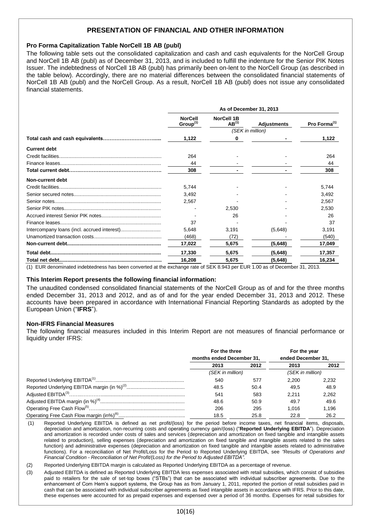# **PRESENTATION OF FINANCIAL AND OTHER INFORMATION**

## **Pro Forma Capitalization Table NorCell 1B AB (publ)**

The following table sets out the consolidated capitalization and cash and cash equivalents for the NorCell Group and NorCell 1B AB (publ) as of December 31, 2013, and is included to fulfill the indenture for the Senior PIK Notes Issuer. The indebtedness of NorCell 1B AB (publ) has primarily been on-lent to the NorCell Group (as described in the table below). Accordingly, there are no material differences between the consolidated financial statements of NorCell 1B AB (publ) and the NorCell Group. As a result, NorCell 1B AB (publ) does not issue any consolidated financial statements.

|                     | As of December 31, 2013                |                                 |                    |                          |  |
|---------------------|----------------------------------------|---------------------------------|--------------------|--------------------------|--|
|                     | <b>NorCell</b><br>Group <sup>(1)</sup> | <b>NorCell 1B</b><br>$AB^{(1)}$ | <b>Adjustments</b> | Pro Forma <sup>(1)</sup> |  |
|                     |                                        |                                 | (SEK in million)   |                          |  |
|                     | 1,122                                  | 0                               |                    | 1,122                    |  |
| <b>Current debt</b> |                                        |                                 |                    |                          |  |
|                     | 264                                    |                                 |                    | 264                      |  |
|                     | 44                                     |                                 |                    | 44                       |  |
|                     | 308                                    |                                 |                    | 308                      |  |
| Non-current debt    |                                        |                                 |                    |                          |  |
|                     | 5.744                                  |                                 |                    | 5,744                    |  |
|                     | 3.492                                  |                                 |                    | 3.492                    |  |
|                     | 2,567                                  |                                 |                    | 2,567                    |  |
|                     |                                        | 2.530                           |                    | 2.530                    |  |
|                     |                                        | 26                              |                    | 26                       |  |
|                     | 37                                     |                                 |                    | 37                       |  |
|                     | 5.648                                  | 3,191                           | (5,648)            | 3.191                    |  |
|                     | (468)                                  | (72)                            |                    | (540)                    |  |
|                     | 17,022                                 | 5,675                           | (5,648)            | 17,049                   |  |
|                     | 17,330                                 | 5,675                           | (5,648)            | 17,357                   |  |
|                     | 16,208                                 | 5,675                           | (5,648)            | 16,234                   |  |

(1) EUR denominated indebtedness has been converted at the exchange rate of SEK 8.943 per EUR 1.00 as of December 31, 2013.

#### **This Interim Report presents the following financial information:**

The unaudited condensed consolidated financial statements of the NorCell Group as of and for the three months ended December 31, 2013 and 2012, and as of and for the year ended December 31, 2013 and 2012. These accounts have been prepared in accordance with International Financial Reporting Standards as adopted by the European Union ("**IFRS**").

#### **Non-IFRS Financial Measures**

The following financial measures included in this Interim Report are not measures of financial performance or liquidity under IFRS:

|                           | For the three    |                    | For the year     |
|---------------------------|------------------|--------------------|------------------|
| months ended December 31, |                  | ended December 31, |                  |
| 2013                      | 2012             | 2013               | 2012             |
|                           | (SEK in million) |                    | (SEK in million) |
| 540                       | 577              | 2.200              | 2.232            |
| 48.5                      | 50.4             | 49.5               | 48.9             |
| 541                       | 583              | 2.211              | 2.262            |
| 48.6                      | 50.9             | 49.7               | 49.6             |
| 206                       | 295              | 1.016              | 1.196            |
| 18.5                      | 25.8             | 22.8               | 26.2             |

(1) Reported Underlying EBITDA is defined as net profit/(loss) for the period before income taxes, net financial items, disposals, depreciation and amortization, non-recurring costs and operating currency gain/(loss) ("**Reported Underlying EBITDA**"). Depreciation and amortization is recorded under costs of sales and services (depreciation and amortization on fixed tangible and intangible assets related to production), selling expenses (depreciation and amortization on fixed tangible and intangible assets related to the sales function) and administrative expenses (depreciation and amortization on fixed tangible and intangible assets related to administrative functions). For a reconciliation of Net Profit/Loss for the Period to Reported Underlying EBITDA, see *"Results of Operations and Financial Condition* - *Reconciliation of Net Profit/(Loss) for the Period to Adjusted EBITDA"*.

(2) Reported Underlying EBITDA margin is calculated as Reported Underlying EBITDA as a percentage of revenue.

(3) Adjusted EBITDA is defined as Reported Underlying EBITDA less expenses associated with retail subsidies, which consist of subsidies paid to retailers for the sale of set-top boxes ("STBs") that can be associated with individual subscriber agreements. Due to the enhancement of Com Hem's support systems, the Group has as from January 1, 2011, reported the portion of retail subsidies paid in cash that can be associated with individual subscriber agreements as fixed intangible assets in accordance with IFRS. Prior to this date, these expenses were accounted for as prepaid expenses and expensed over a period of 36 months. Expenses for retail subsidies for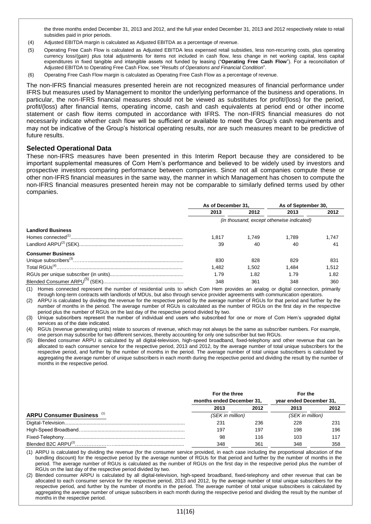the three months ended December 31, 2013 and 2012, and the full year ended December 31, 2013 and 2012 respectively relate to retail subsidies paid in prior periods.

- (4) Adjusted EBITDA margin is calculated as Adjusted EBITDA as a percentage of revenue.
- (5) Operating Free Cash Flow is calculated as Adjusted EBITDA less expensed retail subsidies, less non-recurring costs, plus operating currency loss/(gain) plus total adjustments for items not included in cash flow, less change in net working capital, less capital expenditures in fixed tangible and intangible assets not funded by leasing ("**Operating Free Cash Flow**"). For a reconciliation of Adjusted EBITDA to Operating Free Cash Flow, see "*Results of Operations and Financial Condition*".
- (6) Operating Free Cash Flow margin is calculated as Operating Free Cash Flow as a percentage of revenue.

The non-IFRS financial measures presented herein are not recognized measures of financial performance under IFRS but measures used by Management to monitor the underlying performance of the business and operations. In particular, the non-IFRS financial measures should not be viewed as substitutes for profit/(loss) for the period, profit/(loss) after financial items, operating income, cash and cash equivalents at period end or other income statement or cash flow items computed in accordance with IFRS. The non-IFRS financial measures do not necessarily indicate whether cash flow will be sufficient or available to meet the Group's cash requirements and may not be indicative of the Group's historical operating results, nor are such measures meant to be predictive of future results.

## **Selected Operational Data**

These non-IFRS measures have been presented in this Interim Report because they are considered to be important supplemental measures of Com Hem's performance and believed to be widely used by investors and prospective investors comparing performance between companies. Since not all companies compute these or other non-IFRS financial measures in the same way, the manner in which Management has chosen to compute the non-IFRS financial measures presented herein may not be comparable to similarly defined terms used by other companies.

|                          | As of December 31. |       | As of September 30,                       |       |
|--------------------------|--------------------|-------|-------------------------------------------|-------|
|                          | 2013               | 2012  | 2013                                      | 2012  |
|                          |                    |       | (in thousand, except otherwise indicated) |       |
| <b>Landlord Business</b> |                    |       |                                           |       |
|                          | 1.817              | 1.749 | 1.789                                     | 1.747 |
|                          | 39                 | 40    | 40                                        | 41    |
| <b>Consumer Business</b> |                    |       |                                           |       |
|                          | 830                | 828   | 829                                       | 831   |
|                          | 1.482              | 1.502 | 1.484                                     | 1.512 |
|                          | 1.79               | 1.82  | 1.79                                      | 1.82  |
|                          | 348                | 361   | 348                                       | 360   |

(1) Homes connected represent the number of residential units to which Com Hem provides an analog or digital connection, primarily through long-term contracts with landlords of MDUs, but also through service provider agreements with communication operators.

(2) ARPU is calculated by dividing the revenue for the respective period by the average number of RGUs for that period and further by the number of months in the period. The average number of RGUs is calculated as the number of RGUs on the first day in the respective period plus the number of RGUs on the last day of the respective period divided by two.

(3) Unique subscribers represent the number of individual end users who subscribed for one or more of Com Hem's upgraded digital services as of the date indicated.

(4) RGUs (revenue generating units) relate to sources of revenue, which may not always be the same as subscriber numbers. For example, one person may subscribe for two different services, thereby accounting for only one subscriber but two RGUs.

(5) Blended consumer ARPU is calculated by all digital-television, high-speed broadband, fixed-telephony and other revenue that can be allocated to each consumer service for the respective period, 2013 and 2012, by the average number of total unique subscribers for the respective period, and further by the number of months in the period. The average number of total unique subscribers is calculated by aggregating the average number of unique subscribers in each month during the respective period and dividing the result by the number of months in the respective period.

|                                   | For the three<br>months ended December 31, |      | For the<br>year ended December 31, |      |
|-----------------------------------|--------------------------------------------|------|------------------------------------|------|
|                                   | 2013                                       | 2012 | 2013                               | 2012 |
| <b>ARPU Consumer Business</b> (1) | (SEK in million)                           |      | (SEK in million)                   |      |
|                                   | 231                                        | 236  | 228                                | 231  |
|                                   | 197                                        | 197  | 198                                | 196  |
|                                   | 98                                         | 116  | 103                                | 117  |
| Blended B2C ARPU <sup>(2)</sup>   | 348                                        | 361  | 348                                | 358  |

(1) ARPU is calculated by dividing the revenue (for the consumer service provided, in each case including the proportional allocation of the bundling discount) for the respective period by the average number of RGUs for that period and further by the number of months in the period. The average number of RGUs is calculated as the number of RGUs on the first day in the respective period plus the number of RGUs on the last day of the respective period divided by two.

(2) Blended consumer ARPU is calculated by all digital-television, high-speed broadband, fixed-telephony and other revenue that can be allocated to each consumer service for the respective period, 2013 and 2012, by the average number of total unique subscribers for the respective period, and further by the number of months in the period. The average number of total unique subscribers is calculated by aggregating the average number of unique subscribers in each month during the respective period and dividing the result by the number of months in the respective period.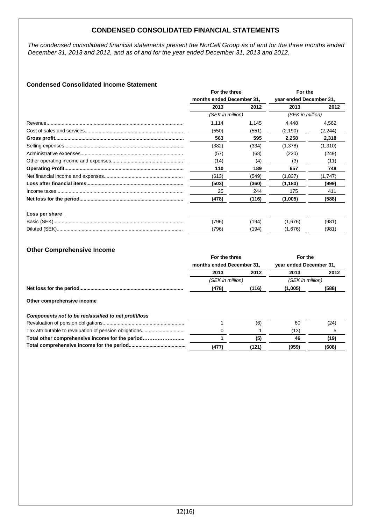# **CONDENSED CONSOLIDATED FINANCIAL STATEMENTS**

*The condensed consolidated financial statements present the NorCell Group as of and for the three months ended December 31, 2013 and 2012, and as of and for the year ended December 31, 2013 and 2012.*

## **Condensed Consolidated Income Statement**

|                | For the three    |                           | For the          |                         |  |  |
|----------------|------------------|---------------------------|------------------|-------------------------|--|--|
|                |                  | months ended December 31, |                  | year ended December 31, |  |  |
|                | 2013             | 2012                      | 2013             | 2012                    |  |  |
|                | (SEK in million) |                           | (SEK in million) |                         |  |  |
|                | 1.114            | 1,145                     | 4.448            | 4,562                   |  |  |
|                | (550)            | (551)                     | (2, 190)         | (2, 244)                |  |  |
|                | 563              | 595                       | 2,258            | 2,318                   |  |  |
|                | (382)            | (334)                     | (1,378)          | (1,310)                 |  |  |
|                | (57)             | (68)                      | (220)            | (249)                   |  |  |
|                | (14)             | (4)                       | (3)              | (11)                    |  |  |
|                | 110              | 189                       | 657              | 748                     |  |  |
|                | (613)            | (549)                     | (1,837)          | (1,747)                 |  |  |
|                | (503)            | (360)                     | (1, 180)         | (999)                   |  |  |
|                | 25               | 244                       | 175              | 411                     |  |  |
|                | (478)            | (116)                     | (1,005)          | (588)                   |  |  |
| Loss per share |                  |                           |                  |                         |  |  |
|                | (796)            | (194)                     | (1,676)          | (981)                   |  |  |
|                | (796)            | (194)                     | (1,676)          | (981)                   |  |  |

## **Other Comprehensive Income**

|                                                      | For the three<br>months ended December 31, |                  | For the<br>year ended December 31, |                  |  |  |
|------------------------------------------------------|--------------------------------------------|------------------|------------------------------------|------------------|--|--|
|                                                      |                                            |                  |                                    |                  |  |  |
|                                                      | 2013                                       | 2012             | 2013                               | 2012             |  |  |
|                                                      |                                            | (SEK in million) |                                    | (SEK in million) |  |  |
|                                                      | (478)                                      | (116)            | (1,005)                            | (588)            |  |  |
| Other comprehensive income                           |                                            |                  |                                    |                  |  |  |
| Components not to be reclassified to net profit/loss |                                            |                  |                                    |                  |  |  |
|                                                      |                                            | (6)              | 60                                 | (24)             |  |  |
|                                                      |                                            |                  | (13)                               | 5                |  |  |
| Total other comprehensive income for the period      |                                            | (5)              | 46                                 | (19)             |  |  |
|                                                      | (477)                                      | (121)            | (959)                              | (608)            |  |  |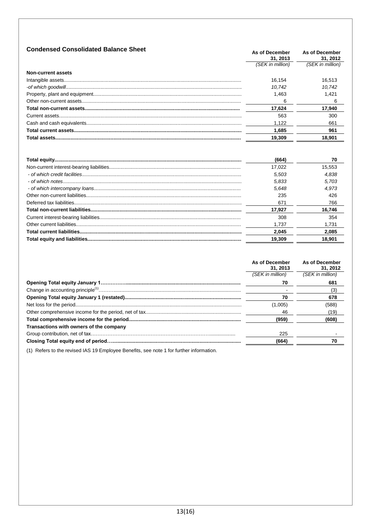| <b>Condensed Consolidated Balance Sheet</b> | As of December<br>31.2013 | As of December<br>31, 2012 |
|---------------------------------------------|---------------------------|----------------------------|
|                                             | (SEK in million)          | (SEK in million)           |
| Non-current assets                          |                           |                            |
|                                             | 16.154                    | 16.513                     |
|                                             | 10.742                    | 10.742                     |
|                                             | 1.463                     | 1.421                      |
|                                             | 6                         | 6                          |
|                                             | 17.624                    | 17.940                     |
|                                             | 563                       | 300                        |
|                                             | 1.122                     | 661                        |
|                                             | 1.685                     | 961                        |
| Total assets                                | 19.309                    | 18.901                     |
|                                             |                           |                            |

| (664)  | 70     |
|--------|--------|
| 17.022 | 15.553 |
| 5.503  | 4.838  |
| 5.833  | 5.703  |
| 5.648  | 4.973  |
| 235    | 426    |
| 671    | 766    |
| 17.927 | 16.746 |
| 308    | 354    |
| 1.737  | 1.731  |
| 2.045  | 2.085  |
| 19.309 | 18.901 |

|                                         | As of December<br>31, 2013 | As of December<br>31.2012 |
|-----------------------------------------|----------------------------|---------------------------|
|                                         | (SEK in million)           | (SEK in million)          |
|                                         | 70                         | 681                       |
|                                         |                            | (3)                       |
|                                         | 70                         | 678                       |
|                                         | (1,005)                    | (588)                     |
|                                         | 46                         | (19)                      |
|                                         | (959)                      | (608)                     |
| Transactions with owners of the company |                            |                           |
|                                         | 225                        |                           |
|                                         | (664)                      | 70                        |
|                                         |                            |                           |

(1) Refers to the revised IAS 19 Employee Benefits, see note 1 for further information.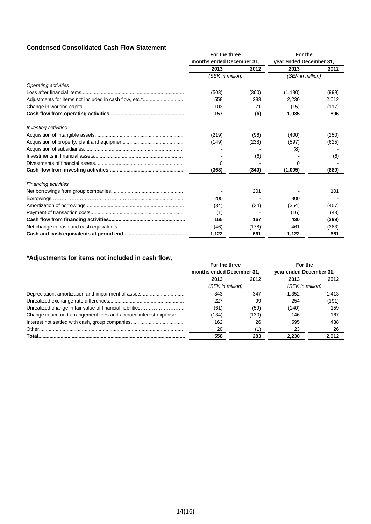# **Condensed Consolidated Cash Flow Statement**

|                                                        | For the three<br>months ended December 31, |       | For the<br>year ended December 31, |       |
|--------------------------------------------------------|--------------------------------------------|-------|------------------------------------|-------|
|                                                        |                                            |       |                                    |       |
|                                                        | 2013                                       | 2012  | 2013                               | 2012  |
|                                                        | (SEK in million)                           |       | (SEK in million)                   |       |
| <b>Operating activities</b>                            |                                            |       |                                    |       |
|                                                        | (503)                                      | (360) | (1,180)                            | (999) |
| Adjustments for items not included in cash flow, etc.* | 558                                        | 283   | 2.230                              | 2,012 |
|                                                        | 103                                        | 71    | (15)                               | (117) |
|                                                        | 157                                        | (6)   | 1,035                              | 896   |
| <b>Investing activities</b>                            |                                            |       |                                    |       |
|                                                        | (219)                                      | (96)  | (400)                              | (250) |
|                                                        | (149)                                      | (238) | (597)                              | (625) |
|                                                        |                                            |       | (8)                                |       |
|                                                        |                                            | (6)   |                                    | (6)   |
|                                                        | 0                                          |       | 0                                  |       |
|                                                        | (368)                                      | (340) | (1,005)                            | (880) |
| <b>Financing activities</b>                            |                                            |       |                                    |       |
|                                                        |                                            | 201   |                                    | 101   |
|                                                        | 200                                        |       | 800                                |       |
|                                                        | (34)                                       | (34)  | (354)                              | (457) |
|                                                        | (1)                                        |       | (16)                               | (43)  |
|                                                        | 165                                        | 167   | 430                                | (399) |
|                                                        | (46)                                       | (178) | 461                                | (383) |
|                                                        | 1,122                                      | 661   | 1,122                              | 661   |

# **\*Adjustments for items not included in cash flow,**

|                                                                 | For the three             |                  | For the                 |                  |
|-----------------------------------------------------------------|---------------------------|------------------|-------------------------|------------------|
|                                                                 | months ended December 31, |                  | year ended December 31, |                  |
|                                                                 | 2013                      | 2012             | 2013                    | 2012             |
|                                                                 |                           | (SEK in million) |                         | (SEK in million) |
|                                                                 | 343                       | 347              | 1.352                   | 1.413            |
|                                                                 | 227                       | 99               | 254                     | (191)            |
|                                                                 | (61)                      | (59)             | (140)                   | 159              |
| Change in accrued arrangement fees and accrued interest expense | (134)                     | (130)            | 146                     | 167              |
|                                                                 | 162                       | 26               | 595                     | 438              |
|                                                                 | 20                        |                  | 23                      | 26               |
| Total.                                                          | 558                       | 283              | 2.230                   | 2.012            |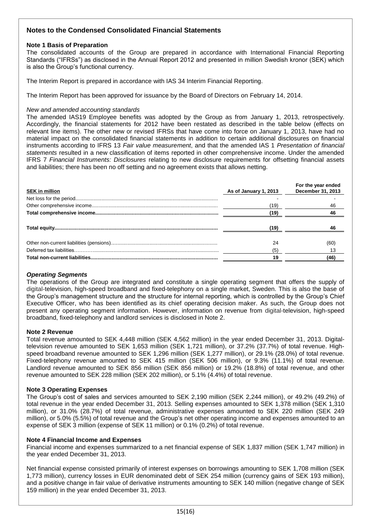# **Notes to the Condensed Consolidated Financial Statements**

## **Note 1 Basis of Preparation**

The consolidated accounts of the Group are prepared in accordance with International Financial Reporting Standards ("IFRSs") as disclosed in the Annual Report 2012 and presented in million Swedish kronor (SEK) which is also the Group's functional currency.

The Interim Report is prepared in accordance with IAS 34 Interim Financial Reporting.

The Interim Report has been approved for issuance by the Board of Directors on February 14, 2014.

#### *New and amended accounting standards*

The amended IAS19 Employee benefits was adopted by the Group as from January 1, 2013, retrospectively. Accordingly, the financial statements for 2012 have been restated as described in the table below (effects on relevant line items). The other new or revised IFRSs that have come into force on January 1, 2013, have had no material impact on the consolidated financial statements in addition to certain additional disclosures on financial instruments according to IFRS 13 *Fair value measurement*, and that the amended IAS 1 *Presentation of financial statements* resulted in a new classification of items reported in other comprehensive income. Under the amended IFRS 7 *Financial Instruments: Disclosures* relating to new disclosure requirements for offsetting financial assets and liabilities; there has been no off setting and no agreement exists that allows netting.

| <b>SEK in million</b> | As of January 1, 2013 | For the year ended<br>December 31, 2013 |
|-----------------------|-----------------------|-----------------------------------------|
|                       |                       |                                         |
|                       | (19)                  | 46                                      |
|                       | (19)                  | 46                                      |
|                       | (19)                  | 46                                      |
|                       | 24                    | (60)                                    |
|                       | (5)                   |                                         |
|                       | 19                    | (46)                                    |

## *Operating Segments*

The operations of the Group are integrated and constitute a single operating segment that offers the supply of digital-television, high-speed broadband and fixed-telephony on a single market, Sweden. This is also the base of the Group's management structure and the structure for internal reporting, which is controlled by the Group's Chief Executive Officer, who has been identified as its chief operating decision maker. As such, the Group does not present any operating segment information. However, information on revenue from digital-television, high-speed broadband, fixed-telephony and landlord services is disclosed in Note 2.

#### **Note 2 Revenue**

Total revenue amounted to SEK 4,448 million (SEK 4,562 million) in the year ended December 31, 2013. Digitaltelevision revenue amounted to SEK 1,653 million (SEK 1,721 million), or 37.2% (37.7%) of total revenue. Highspeed broadband revenue amounted to SEK 1,296 million (SEK 1,277 million), or 29.1% (28.0%) of total revenue. Fixed-telephony revenue amounted to SEK 415 million (SEK 506 million), or 9.3% (11.1%) of total revenue. Landlord revenue amounted to SEK 856 million (SEK 856 million) or 19.2% (18.8%) of total revenue, and other revenue amounted to SEK 228 million (SEK 202 million), or 5.1% (4.4%) of total revenue.

#### **Note 3 Operating Expenses**

The Group's cost of sales and services amounted to SEK 2,190 million (SEK 2,244 million), or 49.2% (49.2%) of total revenue in the year ended December 31, 2013. Selling expenses amounted to SEK 1,378 million (SEK 1,310 million), or 31.0% (28.7%) of total revenue, administrative expenses amounted to SEK 220 million (SEK 249 million), or 5.0% (5.5%) of total revenue and the Group's net other operating income and expenses amounted to an expense of SEK 3 million (expense of SEK 11 million) or 0.1% (0.2%) of total revenue.

#### **Note 4 Financial Income and Expenses**

Financial income and expenses summarized to a net financial expense of SEK 1,837 million (SEK 1,747 million) in the year ended December 31, 2013.

Net financial expense consisted primarily of interest expenses on borrowings amounting to SEK 1,708 million (SEK 1,773 million), currency losses in EUR denominated debt of SEK 254 million (currency gains of SEK 193 million), and a positive change in fair value of derivative instruments amounting to SEK 140 million (negative change of SEK 159 million) in the year ended December 31, 2013.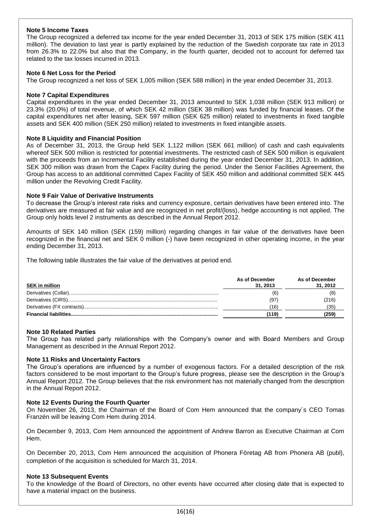## **Note 5 Income Taxes**

The Group recognized a deferred tax income for the year ended December 31, 2013 of SEK 175 million (SEK 411 million). The deviation to last year is partly explained by the reduction of the Swedish corporate tax rate in 2013 from 26.3% to 22.0% but also that the Company, in the fourth quarter, decided not to account for deferred tax related to the tax losses incurred in 2013.

## **Note 6 Net Loss for the Period**

The Group recognized a net loss of SEK 1,005 million (SEK 588 million) in the year ended December 31, 2013.

## **Note 7 Capital Expenditures**

Capital expenditures in the year ended December 31, 2013 amounted to SEK 1,038 million (SEK 913 million) or 23.3% (20.0%) of total revenue, of which SEK 42 million (SEK 38 million) was funded by financial leases. Of the capital expenditures net after leasing, SEK 597 million (SEK 625 million) related to investments in fixed tangible assets and SEK 400 million (SEK 250 million) related to investments in fixed intangible assets.

## **Note 8 Liquidity and Financial Position**

As of December 31, 2013, the Group held SEK 1,122 million (SEK 661 million) of cash and cash equivalents whereof SEK 500 million is restricted for potential investments. The restricted cash of SEK 500 million is equivalent with the proceeds from an Incremental Facility established during the year ended December 31, 2013. In addition, SEK 300 million was drawn from the Capex Facility during the period. Under the Senior Facilities Agreement, the Group has access to an additional committed Capex Facility of SEK 450 million and additional committed SEK 445 million under the Revolving Credit Facility.

## **Note 9 Fair Value of Derivative Instruments**

To decrease the Group's interest rate risks and currency exposure, certain derivatives have been entered into. The derivatives are measured at fair value and are recognized in net profit/(loss), hedge accounting is not applied. The Group only holds level 2 instruments as described in the Annual Report 2012.

Amounts of SEK 140 million (SEK (159) million) regarding changes in fair value of the derivatives have been recognized in the financial net and SEK 0 million (-) have been recognized in other operating income, in the year ending December 31, 2013.

The following table illustrates the fair value of the derivatives at period end.

| <b>SEK</b> in million | As of December<br>31.2013 | As of December<br>31.2012 |
|-----------------------|---------------------------|---------------------------|
|                       | (6                        |                           |
|                       | (97)                      | (216)                     |
|                       | 16)                       |                           |
|                       | 119)                      |                           |

#### **Note 10 Related Parties**

The Group has related party relationships with the Company's owner and with Board Members and Group Management as described in the Annual Report 2012.

## **Note 11 Risks and Uncertainty Factors**

The Group's operations are influenced by a number of exogenous factors. For a detailed description of the risk factors considered to be most important to the Group's future progress, please see the description in the Group's Annual Report 2012. The Group believes that the risk environment has not materially changed from the description in the Annual Report 2012.

#### **Note 12 Events During the Fourth Quarter**

On November 26, 2013, the Chairman of the Board of Com Hem announced that the company´s CEO Tomas Franzén will be leaving Com Hem during 2014.

On December 9, 2013, Com Hem announced the appointment of Andrew Barron as Executive Chairman at Com Hem.

On December 20, 2013, Com Hem announced the acquisition of Phonera Företag AB from Phonera AB (publ), completion of the acquisition is scheduled for March 31, 2014.

#### **Note 13 Subsequent Events**

To the knowledge of the Board of Directors, no other events have occurred after closing date that is expected to have a material impact on the business.